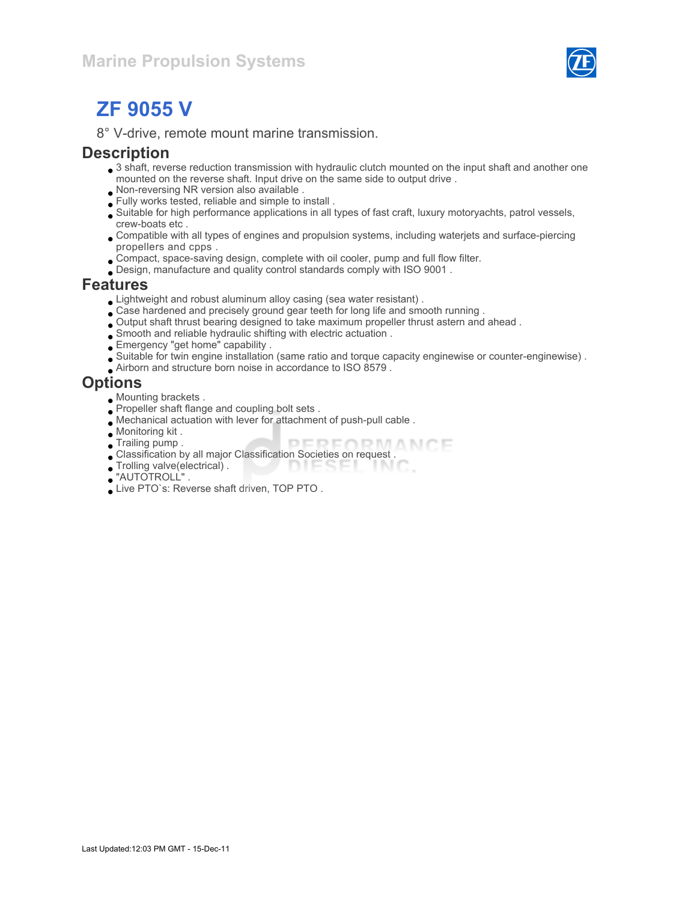

# ZF 9055 V

8° V-drive, remote mount marine transmission.

#### **Description**

- 3 shaft, reverse reduction transmission with hydraulic clutch mounted on the input shaft and another one mounted on the reverse shaft. Input drive on the same side to output drive .
- Non-reversing NR version also available .
- Fully works tested, reliable and simple to install .
- Suitable for high performance applications in all types of fast craft, luxury motoryachts, patrol vessels, crew-boats etc .
- Compatible with all types of engines and propulsion systems, including waterjets and surface-piercing propellers and cpps .
- Compact, space-saving design, complete with oil cooler, pump and full flow filter.
- Design, manufacture and quality control standards comply with ISO 9001 .

#### Features

- Lightweight and robust aluminum alloy casing (sea water resistant) .
- Case hardened and precisely ground gear teeth for long life and smooth running .
- Output shaft thrust bearing designed to take maximum propeller thrust astern and ahead .
- Smooth and reliable hydraulic shifting with electric actuation .
- Emergency "get home" capability .
- Suitable for twin engine installation (same ratio and torque capacity enginewise or counter-enginewise) .
- Airborn and structure born noise in accordance to ISO 8579 .

#### **Options**

- Mounting brackets .
- Propeller shaft flange and coupling bolt sets .
- Mechanical actuation with lever for attachment of push-pull cable .
- Monitoring kit .
- Trailing pump .
- Trailing pump .<br>Classification by all major Classification Societies on request .
- $\bullet$  Trolling valve(electrical). DIESEL TN 0
- "AUTOTROLL" .
- Live PTO`s: Reverse shaft driven, TOP PTO .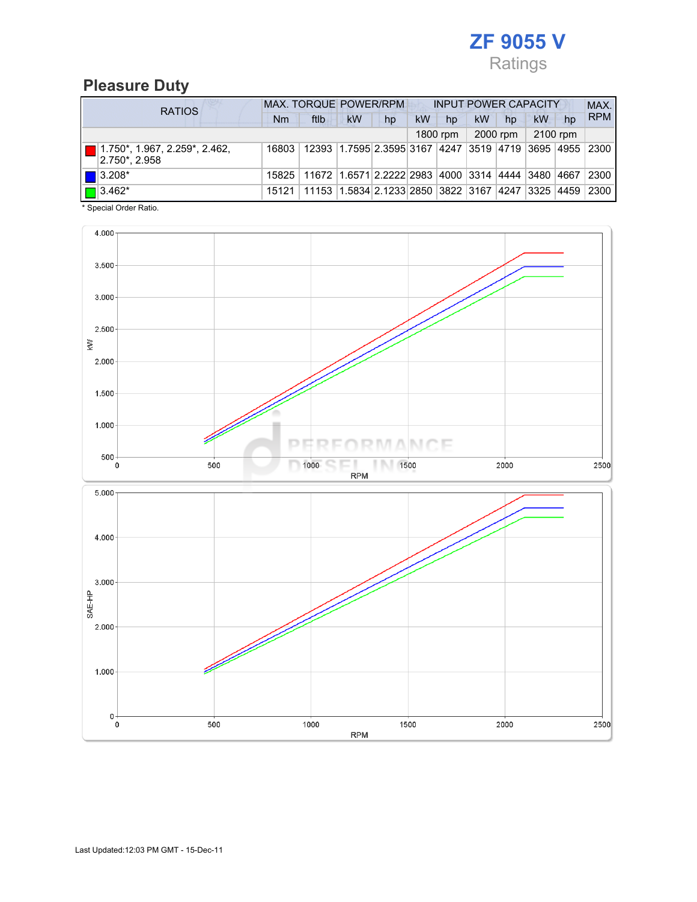

## Pleasure Duty

| <b>RATIOS</b>                                                              | MAX. TORQUE POWER/RPM<br><b>INPUT POWER CAPACITY</b> |                                                           |           |    |    |          |    |          |          |    | MAX.       |
|----------------------------------------------------------------------------|------------------------------------------------------|-----------------------------------------------------------|-----------|----|----|----------|----|----------|----------|----|------------|
|                                                                            | Nm                                                   | ftlb                                                      | <b>kW</b> | hp | kW | hp       | kW | hp       | kW       | hp | <b>RPM</b> |
|                                                                            |                                                      |                                                           |           |    |    | 1800 rpm |    | 2000 rpm | 2100 rpm |    |            |
| $\boxed{\blacksquare}$ 1.750*, 1.967, 2.259*, 2.462,<br>$ 2.750^* , 2.958$ | 16803                                                | 12393 1.7595 2.3595 3167 4247 3519 4719 3695 4955 2300    |           |    |    |          |    |          |          |    |            |
| $\vert$   3.208*                                                           | 15825                                                | 11672 1.6571 2.2222 2983 4000 3314 4444 3480 4667         |           |    |    |          |    |          |          |    | 2300       |
| $\boxed{\blacksquare}$ 3.462*                                              | 15121                                                | 11153  1.5834  2.1233  2850  3822  3167  4247  3325  4459 |           |    |    |          |    |          |          |    | 2300       |

\* Special Order Ratio.

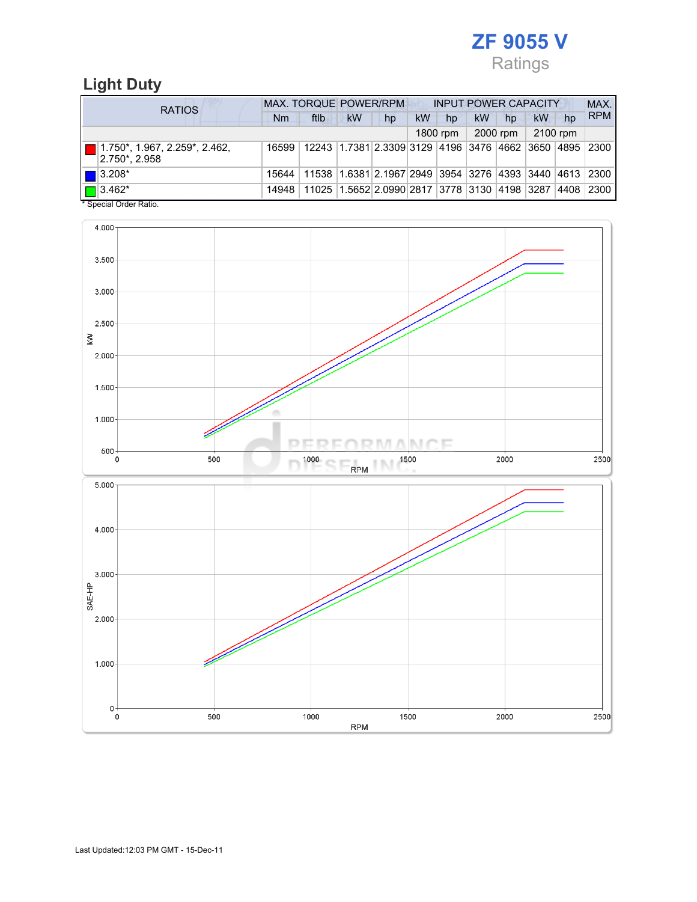

## Light Duty

| <b>RATIOS</b>                                                              | <b>MAX. TORQUE POWER/RPM</b><br><b>INPUT POWER CAPACITY</b> |                                                                                  |           |                                                        |    |          |    |          |          |    | MAX.       |
|----------------------------------------------------------------------------|-------------------------------------------------------------|----------------------------------------------------------------------------------|-----------|--------------------------------------------------------|----|----------|----|----------|----------|----|------------|
|                                                                            | Nm                                                          | ftlb                                                                             | <b>kW</b> | hp                                                     | kW | hp       | kW | hp       | kW       | hp | <b>RPM</b> |
|                                                                            |                                                             |                                                                                  |           |                                                        |    | 1800 rpm |    | 2000 rpm | 2100 rpm |    |            |
| $\boxed{\blacksquare}$ 1.750*, 1.967, 2.259*, 2.462,<br>$ 2.750^* , 2.958$ | 16599                                                       | 12243  1.7381  2.3309  3129  4196  3476  4662  3650  4895   2300                 |           |                                                        |    |          |    |          |          |    |            |
| $\blacksquare$ 3.208*                                                      |                                                             | 15644   11538   1.6381   2.1967   2949   3954   3276   4393   3440   4613   2300 |           |                                                        |    |          |    |          |          |    |            |
| $\Box$ 3.462*<br>$\cdots$                                                  | 14948                                                       |                                                                                  |           | 11025 1.5652 2.0990 2817 3778 3130 4198 3287 4408 2300 |    |          |    |          |          |    |            |

\* Special Order Ratio.

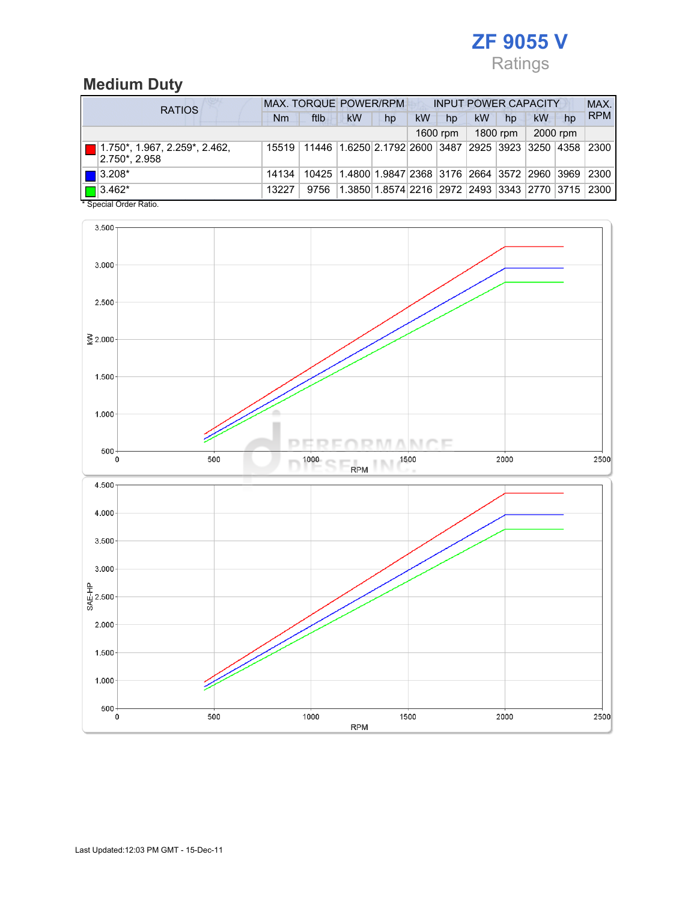

## Medium Duty

| <b>RATIOS</b>                                                       | <b>MAX. TORQUE POWER/RPM</b><br><b>INPUT POWER CAPACITY</b> |                                                        |                                                        |                                                  |    |          |           |          |    |          | MAX.       |
|---------------------------------------------------------------------|-------------------------------------------------------------|--------------------------------------------------------|--------------------------------------------------------|--------------------------------------------------|----|----------|-----------|----------|----|----------|------------|
|                                                                     | Nm                                                          | ftlb                                                   | <b>kW</b>                                              | hp                                               | kW | hp       | <b>kW</b> | hp       | kW | hp       | <b>RPM</b> |
|                                                                     |                                                             |                                                        |                                                        |                                                  |    | 1600 rpm |           | 1800 rpm |    | 2000 rpm |            |
| $1.750^*$ , 1.967, 2.259 <sup>*</sup> , 2.462,<br>$ 2.750^* 2.958 $ | 15519                                                       | 11446 1.6250 2.1792 2600 3487 2925 3923 3250 4358 2300 |                                                        |                                                  |    |          |           |          |    |          |            |
| $\blacksquare$ 3.208*                                               | 14134                                                       |                                                        | 10425 1.4800 1.9847 2368 3176 2664 3572 2960 3969 2300 |                                                  |    |          |           |          |    |          |            |
| $\sqrt{2}$   3.462*                                                 | 13227                                                       | 9756                                                   |                                                        | 1.3850 1.8574 2216 2972 2493 3343 2770 3715 2300 |    |          |           |          |    |          |            |

\* Special Order Ratio.

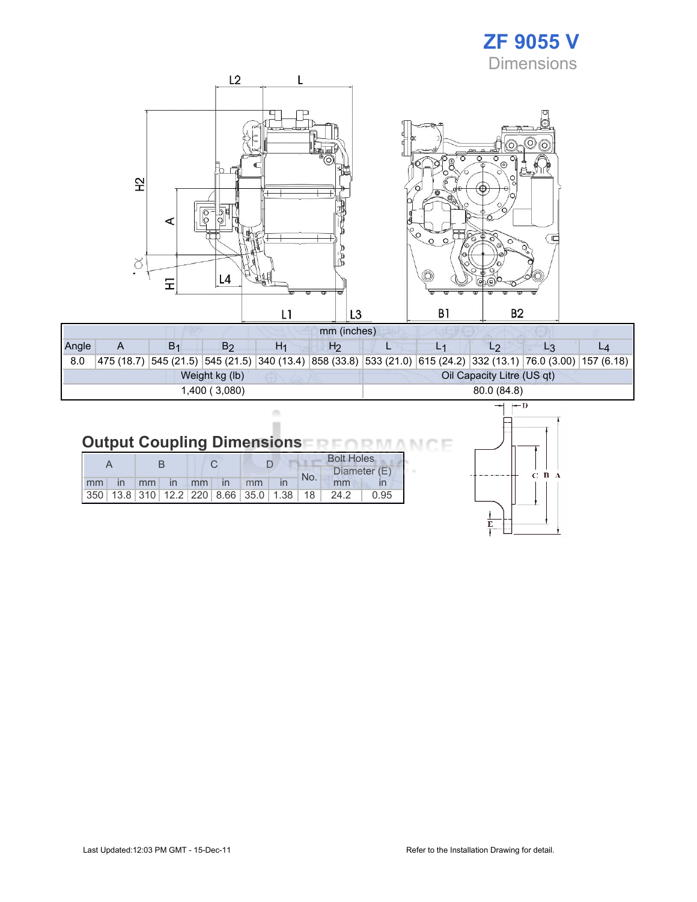## ZF 9055 V **Dimensions**



| Angle          |  | B <sub>1</sub> | B2 | H1 | H2 |            |                            |  |                                                                                                                |  |  |  |
|----------------|--|----------------|----|----|----|------------|----------------------------|--|----------------------------------------------------------------------------------------------------------------|--|--|--|
| 8.0            |  |                |    |    |    |            |                            |  | 475 (18.7) 545 (21.5) 545 (21.5) 340 (13.4) 858 (33.8) 533 (21.0) 615 (24.2) 332 (13.1) 76.0 (3.00) 157 (6.18) |  |  |  |
| Weight kg (lb) |  |                |    |    |    |            | Oil Capacity Litre (US qt) |  |                                                                                                                |  |  |  |
| 1,400 (3,080)  |  |                |    |    |    | 80.0(84.8) |                            |  |                                                                                                                |  |  |  |

#### **Output Coupling Dimensions NO NA** ìE л

ò ×

|    |               |                 |       |  |                   |  |                                                         |     | <b>Bolt Holes</b> |      |  |  |
|----|---------------|-----------------|-------|--|-------------------|--|---------------------------------------------------------|-----|-------------------|------|--|--|
|    |               |                 |       |  |                   |  |                                                         | No. | Diameter (E)      |      |  |  |
| mm | $\mathsf{In}$ | mm <sub>l</sub> | in mm |  | $\ln$ $\text{mm}$ |  |                                                         |     | mm                |      |  |  |
|    |               |                 |       |  |                   |  | 350   13.8   310   12.2   220   8.66   35.0   1.38   18 |     | 24.2              | 0.95 |  |  |